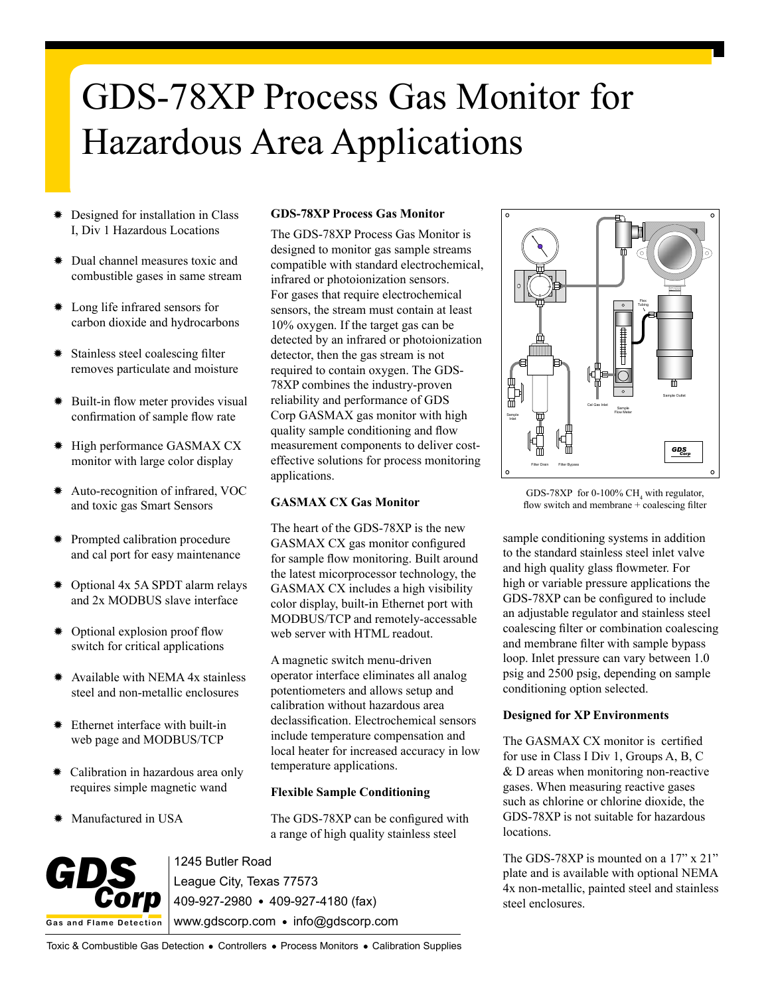# GDS-78XP Process Gas Monitor for Hazardous Area Applications

- ✹ Designed for installation in Class I, Div 1 Hazardous Locations
- Dual channel measures toxic and combustible gases in same stream
- ✹ Long life infrared sensors for carbon dioxide and hydrocarbons
- Stainless steel coalescing filter removes particulate and moisture
- ✹ Built-in flow meter provides visual confirmation of sample flow rate
- ✹ High performance GASMAX CX monitor with large color display
- ✹ Auto-recognition of infrared, VOC and toxic gas Smart Sensors
- ✹ Prompted calibration procedure and cal port for easy maintenance
- ✹ Optional 4x 5A SPDT alarm relays and 2x MODBUS slave interface
- ✹ Optional explosion proof flow switch for critical applications
- ✹ Available with NEMA 4x stainless steel and non-metallic enclosures
- ✹ Ethernet interface with built-in web page and MODBUS/TCP
- ✹ Calibration in hazardous area only requires simple magnetic wand
- Manufactured in USA

# **GDS-78XP Process Gas Monitor**

The GDS-78XP Process Gas Monitor is designed to monitor gas sample streams compatible with standard electrochemical, infrared or photoionization sensors. For gases that require electrochemical sensors, the stream must contain at least 10% oxygen. If the target gas can be detected by an infrared or photoionization detector, then the gas stream is not required to contain oxygen. The GDS-78XP combines the industry-proven reliability and performance of GDS Corp GASMAX gas monitor with high quality sample conditioning and flow measurement components to deliver costeffective solutions for process monitoring applications.

#### **GASMAX CX Gas Monitor**

The heart of the GDS-78XP is the new GASMAX CX gas monitor configured for sample flow monitoring. Built around the latest micorprocessor technology, the GASMAX CX includes a high visibility color display, built-in Ethernet port with MODBUS/TCP and remotely-accessable web server with HTML readout.

A magnetic switch menu-driven operator interface eliminates all analog potentiometers and allows setup and calibration without hazardous area declassification. Electrochemical sensors include temperature compensation and local heater for increased accuracy in low temperature applications.

## **Flexible Sample Conditioning**

The GDS-78XP can be configured with a range of high quality stainless steel

**Gas a nd Flame Detection** GDS<sub>corp</sub>

1245 Butler Road League City, Texas 77573 409-927-2980 409-927-4180 (fax) www.gdscorp.com • info@gdscorp.com



GDS-78XP for 0-100%  $CH_4$  with regulator, flow switch and membrane + coalescing filter

sample conditioning systems in addition to the standard stainless steel inlet valve and high quality glass flowmeter. For high or variable pressure applications the GDS-78XP can be configured to include an adjustable regulator and stainless steel coalescing filter or combination coalescing and membrane filter with sample bypass loop. Inlet pressure can vary between 1.0 psig and 2500 psig, depending on sample conditioning option selected.

## **Designed for XP Environments**

The GASMAX CX monitor is certified for use in Class I Div 1, Groups A, B, C & D areas when monitoring non-reactive gases. When measuring reactive gases such as chlorine or chlorine dioxide, the GDS-78XP is not suitable for hazardous locations.

The GDS-78XP is mounted on a 17" x 21" plate and is available with optional NEMA 4x non-metallic, painted steel and stainless steel enclosures.

Toxic & Combustible Gas Detection . Controllers . Process Monitors . Calibration Supplies